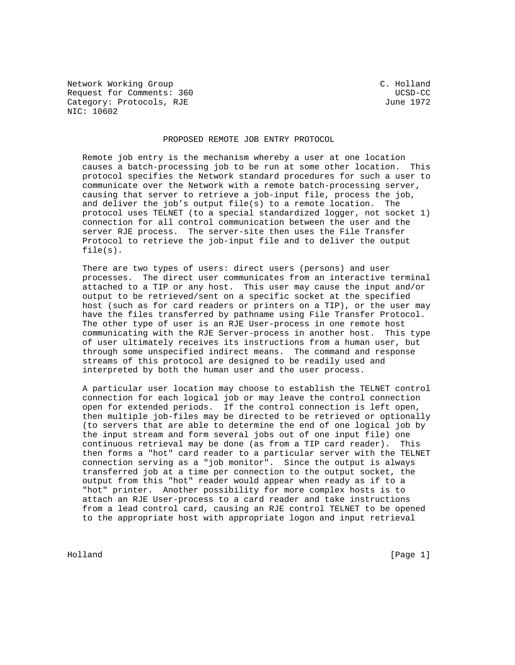Network Working Group C. Holland Request for Comments: 360 UCSD-CC Category: Protocols, RJE June 1972 NIC: 10602

## PROPOSED REMOTE JOB ENTRY PROTOCOL

 Remote job entry is the mechanism whereby a user at one location causes a batch-processing job to be run at some other location. This protocol specifies the Network standard procedures for such a user to communicate over the Network with a remote batch-processing server, causing that server to retrieve a job-input file, process the job, and deliver the job's output file(s) to a remote location. The protocol uses TELNET (to a special standardized logger, not socket 1) connection for all control communication between the user and the server RJE process. The server-site then uses the File Transfer Protocol to retrieve the job-input file and to deliver the output file(s).

 There are two types of users: direct users (persons) and user processes. The direct user communicates from an interactive terminal attached to a TIP or any host. This user may cause the input and/or output to be retrieved/sent on a specific socket at the specified host (such as for card readers or printers on a TIP), or the user may have the files transferred by pathname using File Transfer Protocol. The other type of user is an RJE User-process in one remote host communicating with the RJE Server-process in another host. This type of user ultimately receives its instructions from a human user, but through some unspecified indirect means. The command and response streams of this protocol are designed to be readily used and interpreted by both the human user and the user process.

 A particular user location may choose to establish the TELNET control connection for each logical job or may leave the control connection open for extended periods. If the control connection is left open, then multiple job-files may be directed to be retrieved or optionally (to servers that are able to determine the end of one logical job by the input stream and form several jobs out of one input file) one continuous retrieval may be done (as from a TIP card reader). This then forms a "hot" card reader to a particular server with the TELNET connection serving as a "job monitor". Since the output is always transferred job at a time per connection to the output socket, the output from this "hot" reader would appear when ready as if to a "hot" printer. Another possibility for more complex hosts is to attach an RJE User-process to a card reader and take instructions from a lead control card, causing an RJE control TELNET to be opened to the appropriate host with appropriate logon and input retrieval

Holland [Page 1]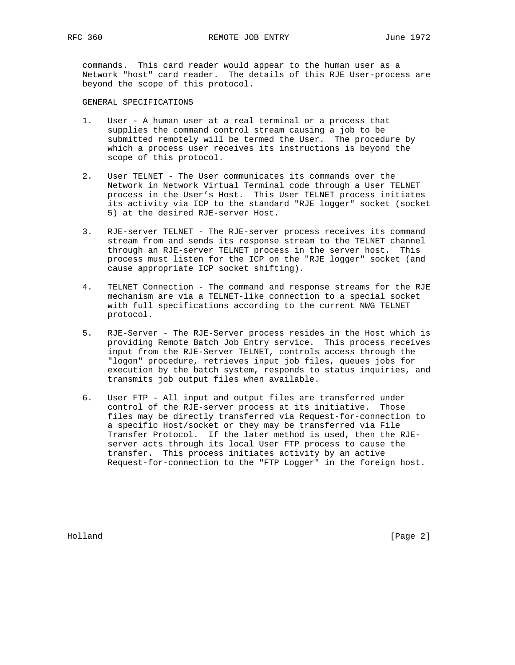commands. This card reader would appear to the human user as a Network "host" card reader. The details of this RJE User-process are beyond the scope of this protocol.

GENERAL SPECIFICATIONS

- 1. User A human user at a real terminal or a process that supplies the command control stream causing a job to be submitted remotely will be termed the User. The procedure by which a process user receives its instructions is beyond the scope of this protocol.
- 2. User TELNET The User communicates its commands over the Network in Network Virtual Terminal code through a User TELNET process in the User's Host. This User TELNET process initiates its activity via ICP to the standard "RJE logger" socket (socket 5) at the desired RJE-server Host.
- 3. RJE-server TELNET The RJE-server process receives its command stream from and sends its response stream to the TELNET channel through an RJE-server TELNET process in the server host. This process must listen for the ICP on the "RJE logger" socket (and cause appropriate ICP socket shifting).
- 4. TELNET Connection The command and response streams for the RJE mechanism are via a TELNET-like connection to a special socket with full specifications according to the current NWG TELNET protocol.
- 5. RJE-Server The RJE-Server process resides in the Host which is providing Remote Batch Job Entry service. This process receives input from the RJE-Server TELNET, controls access through the "logon" procedure, retrieves input job files, queues jobs for execution by the batch system, responds to status inquiries, and transmits job output files when available.
- 6. User FTP All input and output files are transferred under control of the RJE-server process at its initiative. Those files may be directly transferred via Request-for-connection to a specific Host/socket or they may be transferred via File Transfer Protocol. If the later method is used, then the RJE server acts through its local User FTP process to cause the transfer. This process initiates activity by an active Request-for-connection to the "FTP Logger" in the foreign host.

Holland [Page 2]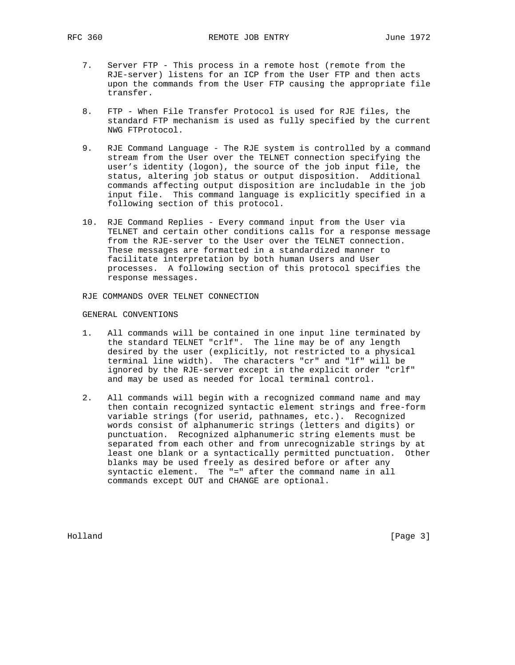- 7. Server FTP This process in a remote host (remote from the RJE-server) listens for an ICP from the User FTP and then acts upon the commands from the User FTP causing the appropriate file transfer.
- 8. FTP When File Transfer Protocol is used for RJE files, the standard FTP mechanism is used as fully specified by the current NWG FTProtocol.
- 9. RJE Command Language The RJE system is controlled by a command stream from the User over the TELNET connection specifying the user's identity (logon), the source of the job input file, the status, altering job status or output disposition. Additional commands affecting output disposition are includable in the job input file. This command language is explicitly specified in a following section of this protocol.
- 10. RJE Command Replies Every command input from the User via TELNET and certain other conditions calls for a response message from the RJE-server to the User over the TELNET connection. These messages are formatted in a standardized manner to facilitate interpretation by both human Users and User processes. A following section of this protocol specifies the response messages.

RJE COMMANDS OVER TELNET CONNECTION

## GENERAL CONVENTIONS

- 1. All commands will be contained in one input line terminated by the standard TELNET "crlf". The line may be of any length desired by the user (explicitly, not restricted to a physical terminal line width). The characters "cr" and "lf" will be ignored by the RJE-server except in the explicit order "crlf" and may be used as needed for local terminal control.
- 2. All commands will begin with a recognized command name and may then contain recognized syntactic element strings and free-form variable strings (for userid, pathnames, etc.). Recognized words consist of alphanumeric strings (letters and digits) or punctuation. Recognized alphanumeric string elements must be separated from each other and from unrecognizable strings by at least one blank or a syntactically permitted punctuation. Other blanks may be used freely as desired before or after any syntactic element. The "=" after the command name in all commands except OUT and CHANGE are optional.

Holland [Page 3]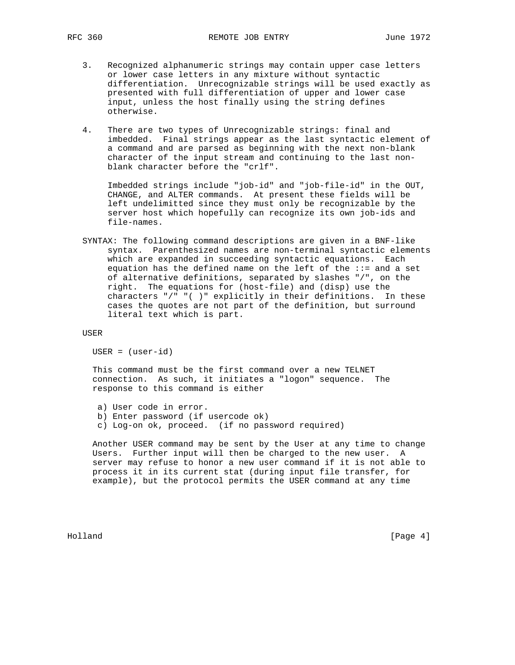- 3. Recognized alphanumeric strings may contain upper case letters or lower case letters in any mixture without syntactic differentiation. Unrecognizable strings will be used exactly as presented with full differentiation of upper and lower case input, unless the host finally using the string defines otherwise.
- 4. There are two types of Unrecognizable strings: final and imbedded. Final strings appear as the last syntactic element of a command and are parsed as beginning with the next non-blank character of the input stream and continuing to the last non blank character before the "crlf".

 Imbedded strings include "job-id" and "job-file-id" in the OUT, CHANGE, and ALTER commands. At present these fields will be left undelimitted since they must only be recognizable by the server host which hopefully can recognize its own job-ids and file-names.

 SYNTAX: The following command descriptions are given in a BNF-like syntax. Parenthesized names are non-terminal syntactic elements which are expanded in succeeding syntactic equations. Each equation has the defined name on the left of the ::= and a set of alternative definitions, separated by slashes "/", on the right. The equations for (host-file) and (disp) use the characters "/" "( )" explicitly in their definitions. In these cases the quotes are not part of the definition, but surround literal text which is part.

USER

USER = (user-id)

 This command must be the first command over a new TELNET connection. As such, it initiates a "logon" sequence. The response to this command is either

 a) User code in error. b) Enter password (if usercode ok) c) Log-on ok, proceed. (if no password required)

 Another USER command may be sent by the User at any time to change Users. Further input will then be charged to the new user. A server may refuse to honor a new user command if it is not able to process it in its current stat (during input file transfer, for example), but the protocol permits the USER command at any time

Holland [Page 4]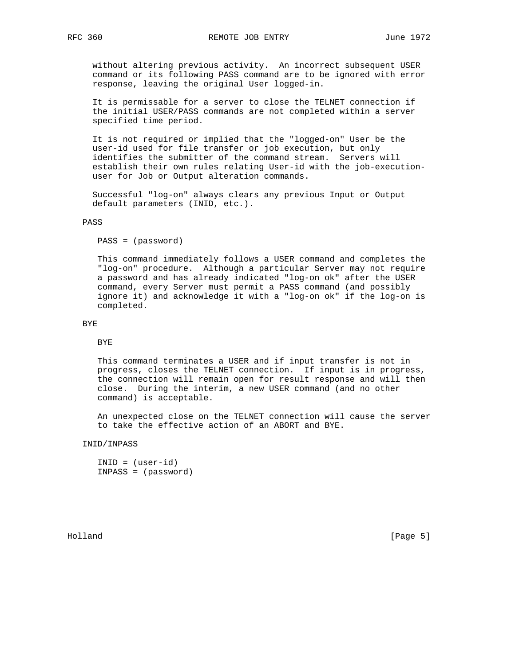without altering previous activity. An incorrect subsequent USER command or its following PASS command are to be ignored with error response, leaving the original User logged-in.

 It is permissable for a server to close the TELNET connection if the initial USER/PASS commands are not completed within a server specified time period.

 It is not required or implied that the "logged-on" User be the user-id used for file transfer or job execution, but only identifies the submitter of the command stream. Servers will establish their own rules relating User-id with the job-execution user for Job or Output alteration commands.

 Successful "log-on" always clears any previous Input or Output default parameters (INID, etc.).

## PASS

PASS = (password)

 This command immediately follows a USER command and completes the "log-on" procedure. Although a particular Server may not require a password and has already indicated "log-on ok" after the USER command, every Server must permit a PASS command (and possibly ignore it) and acknowledge it with a "log-on ok" if the log-on is completed.

## BYE

## BYE

 This command terminates a USER and if input transfer is not in progress, closes the TELNET connection. If input is in progress, the connection will remain open for result response and will then close. During the interim, a new USER command (and no other command) is acceptable.

 An unexpected close on the TELNET connection will cause the server to take the effective action of an ABORT and BYE.

INID/INPASS

```
 INID = (user-id)
 INPASS = (password)
```
Holland [Page 5]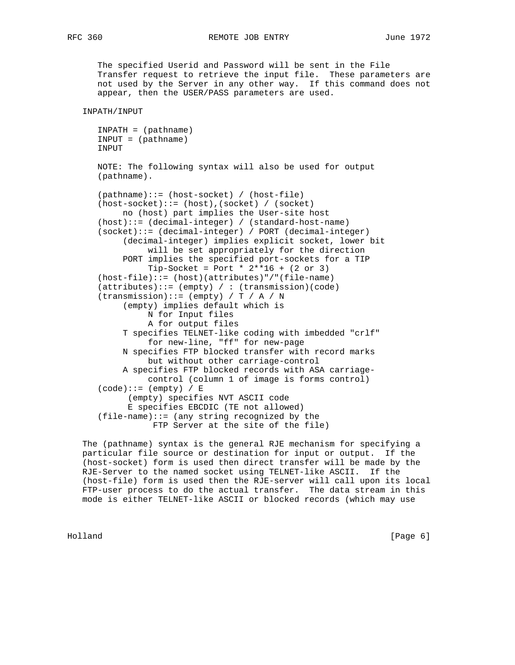The specified Userid and Password will be sent in the File Transfer request to retrieve the input file. These parameters are not used by the Server in any other way. If this command does not appear, then the USER/PASS parameters are used.

INPATH/INPUT

```
 INPATH = (pathname)
 INPUT = (pathname)
 INPUT
```
 NOTE: The following syntax will also be used for output (pathname).

```
 (pathname)::= (host-socket) / (host-file)
 (host-socket)::= (host),(socket) / (socket)
     no (host) part implies the User-site host
 (host)::= (decimal-integer) / (standard-host-name)
 (socket)::= (decimal-integer) / PORT (decimal-integer)
      (decimal-integer) implies explicit socket, lower bit
           will be set appropriately for the direction
      PORT implies the specified port-sockets for a TIP
          Tip-Sockets = Port * 2**16 + (2 or 3) (host-file)::= (host)(attributes)"/"(file-name)
(\text{attributes})::=(\text{empty}) / : (transmission)(code)
(transmission) ::= (empty) / T / A / N (empty) implies default which is
           N for Input files
           A for output files
     T specifies TELNET-like coding with imbedded "crlf"
           for new-line, "ff" for new-page
     N specifies FTP blocked transfer with record marks
           but without other carriage-control
     A specifies FTP blocked records with ASA carriage-
           control (column 1 of image is forms control)
(code)::= (empty) / E (empty) specifies NVT ASCII code
       E specifies EBCDIC (TE not allowed)
(file-name)::= (any string recognized by the
            FTP Server at the site of the file)
```
 The (pathname) syntax is the general RJE mechanism for specifying a particular file source or destination for input or output. If the (host-socket) form is used then direct transfer will be made by the RJE-Server to the named socket using TELNET-like ASCII. If the (host-file) form is used then the RJE-server will call upon its local FTP-user process to do the actual transfer. The data stream in this mode is either TELNET-like ASCII or blocked records (which may use

Holland [Page 6]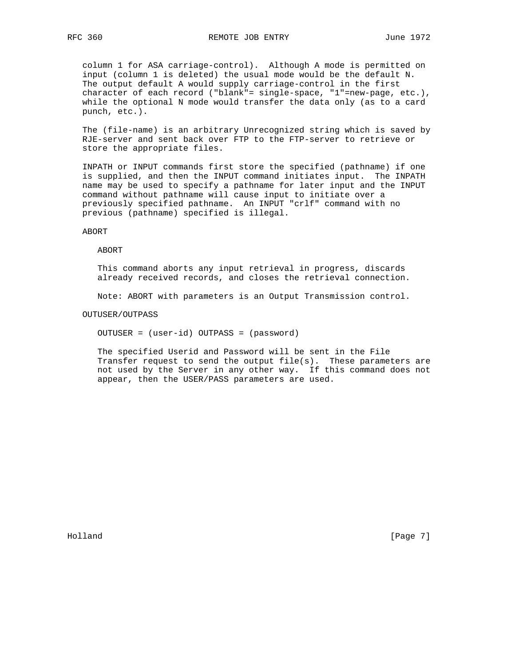column 1 for ASA carriage-control). Although A mode is permitted on input (column 1 is deleted) the usual mode would be the default N. The output default A would supply carriage-control in the first character of each record ("blank"= single-space, "1"=new-page, etc.), while the optional N mode would transfer the data only (as to a card punch, etc.).

 The (file-name) is an arbitrary Unrecognized string which is saved by RJE-server and sent back over FTP to the FTP-server to retrieve or store the appropriate files.

 INPATH or INPUT commands first store the specified (pathname) if one is supplied, and then the INPUT command initiates input. The INPATH name may be used to specify a pathname for later input and the INPUT command without pathname will cause input to initiate over a previously specified pathname. An INPUT "crlf" command with no previous (pathname) specified is illegal.

ABORT

#### ABORT

 This command aborts any input retrieval in progress, discards already received records, and closes the retrieval connection.

Note: ABORT with parameters is an Output Transmission control.

## OUTUSER/OUTPASS

OUTUSER = (user-id) OUTPASS = (password)

 The specified Userid and Password will be sent in the File Transfer request to send the output file(s). These parameters are not used by the Server in any other way. If this command does not appear, then the USER/PASS parameters are used.

Holland [Page 7]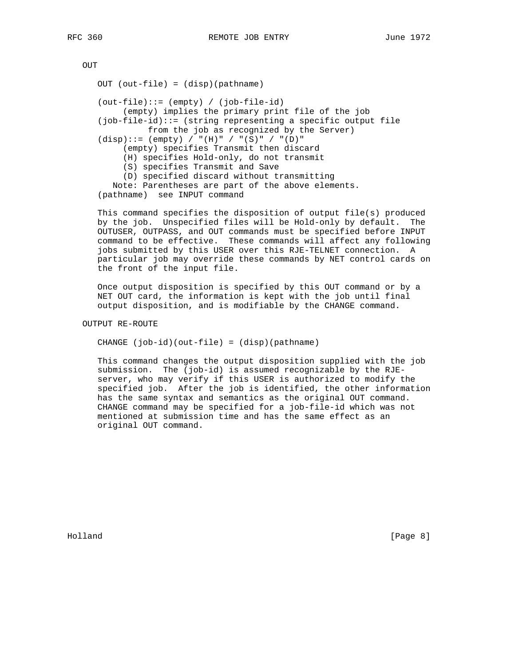OUT

 OUT (out-file) = (disp)(pathname) (out-file)::= (empty) / (job-file-id) (empty) implies the primary print file of the job (job-file-id)::= (string representing a specific output file from the job as recognized by the Server)  $(disp)::= (empty) / "H)" / "(S)" / "(D)"$  (empty) specifies Transmit then discard (H) specifies Hold-only, do not transmit (S) specifies Transmit and Save (D) specified discard without transmitting Note: Parentheses are part of the above elements. (pathname) see INPUT command

 This command specifies the disposition of output file(s) produced by the job. Unspecified files will be Hold-only by default. The OUTUSER, OUTPASS, and OUT commands must be specified before INPUT command to be effective. These commands will affect any following jobs submitted by this USER over this RJE-TELNET connection. A particular job may override these commands by NET control cards on the front of the input file.

 Once output disposition is specified by this OUT command or by a NET OUT card, the information is kept with the job until final output disposition, and is modifiable by the CHANGE command.

OUTPUT RE-ROUTE

CHANGE (job-id)(out-file) = (disp)(pathname)

 This command changes the output disposition supplied with the job submission. The (job-id) is assumed recognizable by the RJE server, who may verify if this USER is authorized to modify the specified job. After the job is identified, the other information has the same syntax and semantics as the original OUT command. CHANGE command may be specified for a job-file-id which was not mentioned at submission time and has the same effect as an original OUT command.

Holland [Page 8]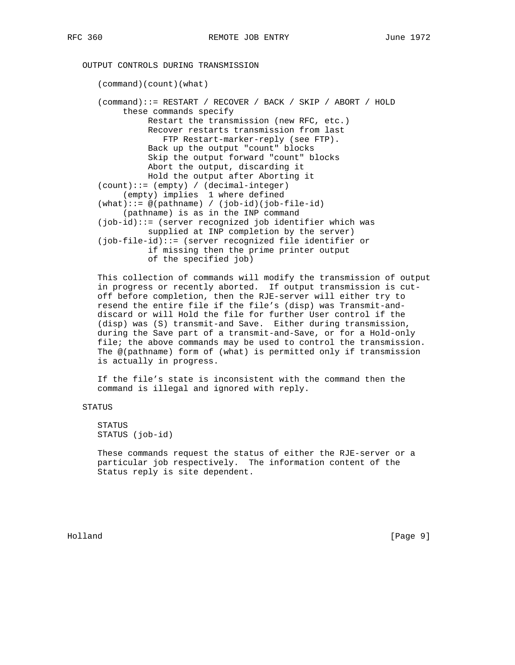# OUTPUT CONTROLS DURING TRANSMISSION

 (command)(count)(what) (command)::= RESTART / RECOVER / BACK / SKIP / ABORT / HOLD these commands specify Restart the transmission (new RFC, etc.) Recover restarts transmission from last FTP Restart-marker-reply (see FTP). Back up the output "count" blocks Skip the output forward "count" blocks Abort the output, discarding it Hold the output after Aborting it (count)::= (empty) / (decimal-integer) (empty) implies 1 where defined (what)::= @(pathname) / (job-id)(job-file-id) (pathname) is as in the INP command (job-id)::= (server recognized job identifier which was supplied at INP completion by the server) (job-file-id)::= (server recognized file identifier or if missing then the prime printer output of the specified job)

 This collection of commands will modify the transmission of output in progress or recently aborted. If output transmission is cut off before completion, then the RJE-server will either try to resend the entire file if the file's (disp) was Transmit-and discard or will Hold the file for further User control if the (disp) was (S) transmit-and Save. Either during transmission, during the Save part of a transmit-and-Save, or for a Hold-only file; the above commands may be used to control the transmission. The @(pathname) form of (what) is permitted only if transmission is actually in progress.

 If the file's state is inconsistent with the command then the command is illegal and ignored with reply.

## STATUS

 STATUS STATUS (job-id)

 These commands request the status of either the RJE-server or a particular job respectively. The information content of the Status reply is site dependent.

Holland [Page 9]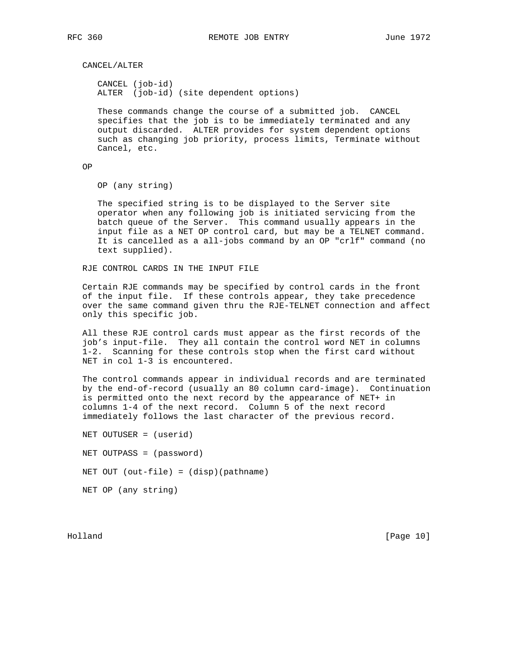CANCEL/ALTER

 CANCEL (job-id) ALTER (job-id) (site dependent options)

 These commands change the course of a submitted job. CANCEL specifies that the job is to be immediately terminated and any output discarded. ALTER provides for system dependent options such as changing job priority, process limits, Terminate without Cancel, etc.

OP

OP (any string)

 The specified string is to be displayed to the Server site operator when any following job is initiated servicing from the batch queue of the Server. This command usually appears in the input file as a NET OP control card, but may be a TELNET command. It is cancelled as a all-jobs command by an OP "crlf" command (no text supplied).

RJE CONTROL CARDS IN THE INPUT FILE

 Certain RJE commands may be specified by control cards in the front of the input file. If these controls appear, they take precedence over the same command given thru the RJE-TELNET connection and affect only this specific job.

 All these RJE control cards must appear as the first records of the job's input-file. They all contain the control word NET in columns 1-2. Scanning for these controls stop when the first card without NET in col 1-3 is encountered.

 The control commands appear in individual records and are terminated by the end-of-record (usually an 80 column card-image). Continuation is permitted onto the next record by the appearance of NET+ in columns 1-4 of the next record. Column 5 of the next record immediately follows the last character of the previous record.

 NET OUTUSER = (userid) NET OUTPASS = (password) NET OUT (out-file) = (disp)(pathname) NET OP (any string)

Holland [Page 10]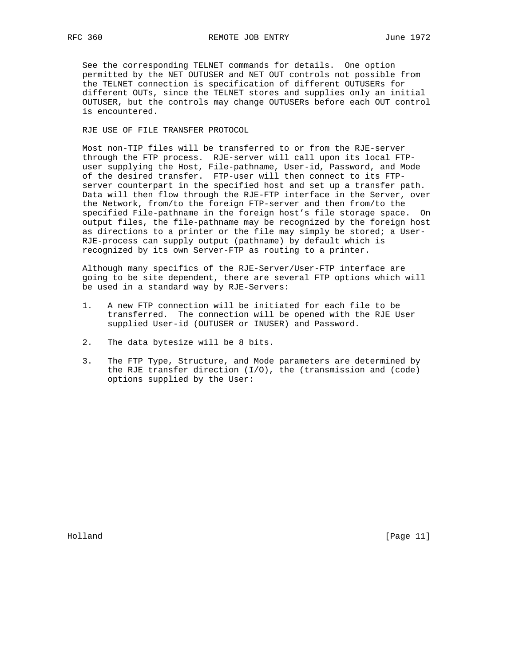See the corresponding TELNET commands for details. One option permitted by the NET OUTUSER and NET OUT controls not possible from the TELNET connection is specification of different OUTUSERs for different OUTs, since the TELNET stores and supplies only an initial OUTUSER, but the controls may change OUTUSERs before each OUT control is encountered.

RJE USE OF FILE TRANSFER PROTOCOL

 Most non-TIP files will be transferred to or from the RJE-server through the FTP process. RJE-server will call upon its local FTP user supplying the Host, File-pathname, User-id, Password, and Mode of the desired transfer. FTP-user will then connect to its FTP server counterpart in the specified host and set up a transfer path. Data will then flow through the RJE-FTP interface in the Server, over the Network, from/to the foreign FTP-server and then from/to the specified File-pathname in the foreign host's file storage space. On output files, the file-pathname may be recognized by the foreign host as directions to a printer or the file may simply be stored; a User- RJE-process can supply output (pathname) by default which is recognized by its own Server-FTP as routing to a printer.

 Although many specifics of the RJE-Server/User-FTP interface are going to be site dependent, there are several FTP options which will be used in a standard way by RJE-Servers:

- 1. A new FTP connection will be initiated for each file to be transferred. The connection will be opened with the RJE User supplied User-id (OUTUSER or INUSER) and Password.
- 2. The data bytesize will be 8 bits.
- 3. The FTP Type, Structure, and Mode parameters are determined by the RJE transfer direction (I/O), the (transmission and (code) options supplied by the User:

Holland [Page 11]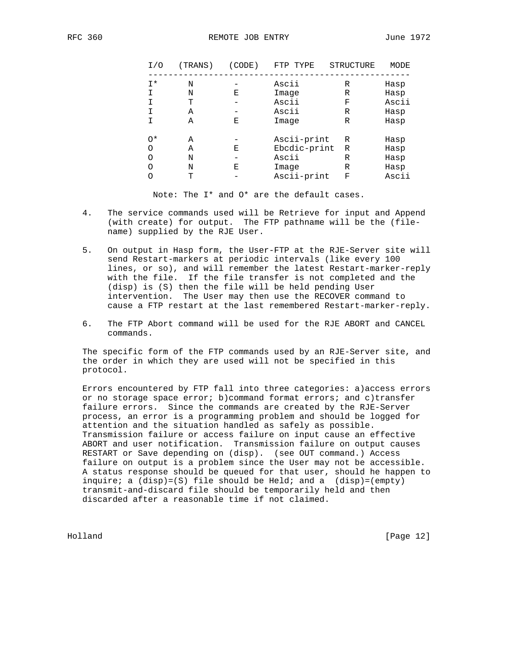| I/O | (TRANS) | (CODE) | FTP TYPE     | STRUCTURE | MODE  |
|-----|---------|--------|--------------|-----------|-------|
| I*  | N       |        | Ascii        | R         | Hasp  |
| Ι.  | N       | Е      | Image        | R         | Hasp  |
| I.  | т       |        | Ascii        | F         | Ascii |
| I.  | Α       |        | Ascii        | R         | Hasp  |
| I.  | Α       | Ε      | Image        | R         | Hasp  |
| 0*  | Α       |        | Ascii-print  | R         | Hasp  |
| O   | Α       | Е      | Ebcdic-print | R         | Hasp  |
| O   | N       |        | Ascii        | R         | Hasp  |
| O   | N       | Ε      | Image        | R         | Hasp  |
| Ο   | т       |        | Ascii-print  | F         | Ascii |
|     |         |        |              |           |       |

Note: The I\* and O\* are the default cases.

- 4. The service commands used will be Retrieve for input and Append (with create) for output. The FTP pathname will be the (file name) supplied by the RJE User.
- 5. On output in Hasp form, the User-FTP at the RJE-Server site will send Restart-markers at periodic intervals (like every 100 lines, or so), and will remember the latest Restart-marker-reply with the file. If the file transfer is not completed and the (disp) is (S) then the file will be held pending User intervention. The User may then use the RECOVER command to cause a FTP restart at the last remembered Restart-marker-reply.
- 6. The FTP Abort command will be used for the RJE ABORT and CANCEL commands.

 The specific form of the FTP commands used by an RJE-Server site, and the order in which they are used will not be specified in this protocol.

 Errors encountered by FTP fall into three categories: a)access errors or no storage space error; b)command format errors; and c)transfer failure errors. Since the commands are created by the RJE-Server process, an error is a programming problem and should be logged for attention and the situation handled as safely as possible. Transmission failure or access failure on input cause an effective ABORT and user notification. Transmission failure on output causes RESTART or Save depending on (disp). (see OUT command.) Access failure on output is a problem since the User may not be accessible. A status response should be queued for that user, should he happen to inquire; a  $(disp)=(S)$  file should be Held; and a  $(disp)=(empty)$  transmit-and-discard file should be temporarily held and then discarded after a reasonable time if not claimed.

Holland [Page 12]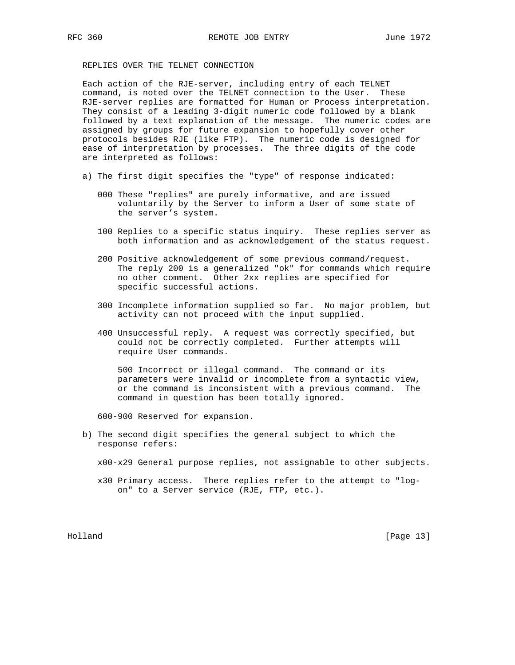## REPLIES OVER THE TELNET CONNECTION

 Each action of the RJE-server, including entry of each TELNET command, is noted over the TELNET connection to the User. These RJE-server replies are formatted for Human or Process interpretation. They consist of a leading 3-digit numeric code followed by a blank followed by a text explanation of the message. The numeric codes are assigned by groups for future expansion to hopefully cover other protocols besides RJE (like FTP). The numeric code is designed for ease of interpretation by processes. The three digits of the code are interpreted as follows:

- a) The first digit specifies the "type" of response indicated:
	- 000 These "replies" are purely informative, and are issued voluntarily by the Server to inform a User of some state of the server's system.
	- 100 Replies to a specific status inquiry. These replies server as both information and as acknowledgement of the status request.
	- 200 Positive acknowledgement of some previous command/request. The reply 200 is a generalized "ok" for commands which require no other comment. Other 2xx replies are specified for specific successful actions.
	- 300 Incomplete information supplied so far. No major problem, but activity can not proceed with the input supplied.
	- 400 Unsuccessful reply. A request was correctly specified, but could not be correctly completed. Further attempts will require User commands.

 500 Incorrect or illegal command. The command or its parameters were invalid or incomplete from a syntactic view, or the command is inconsistent with a previous command. The command in question has been totally ignored.

600-900 Reserved for expansion.

- b) The second digit specifies the general subject to which the response refers:
	- x00-x29 General purpose replies, not assignable to other subjects.
	- x30 Primary access. There replies refer to the attempt to "log on" to a Server service (RJE, FTP, etc.).

Holland [Page 13]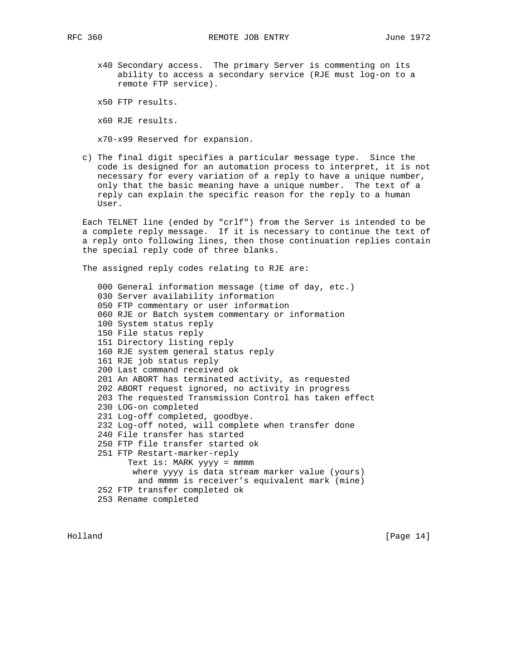x40 Secondary access. The primary Server is commenting on its ability to access a secondary service (RJE must log-on to a remote FTP service).

x50 FTP results.

x60 RJE results.

x70-x99 Reserved for expansion.

 c) The final digit specifies a particular message type. Since the code is designed for an automation process to interpret, it is not necessary for every variation of a reply to have a unique number, only that the basic meaning have a unique number. The text of a reply can explain the specific reason for the reply to a human User.

 Each TELNET line (ended by "crlf") from the Server is intended to be a complete reply message. If it is necessary to continue the text of a reply onto following lines, then those continuation replies contain the special reply code of three blanks.

The assigned reply codes relating to RJE are:

 000 General information message (time of day, etc.) 030 Server availability information 050 FTP commentary or user information 060 RJE or Batch system commentary or information 100 System status reply 150 File status reply 151 Directory listing reply 160 RJE system general status reply 161 RJE job status reply 200 Last command received ok 201 An ABORT has terminated activity, as requested 202 ABORT request ignored, no activity in progress 203 The requested Transmission Control has taken effect 230 LOG-on completed 231 Log-off completed, goodbye. 232 Log-off noted, will complete when transfer done 240 File transfer has started 250 FTP file transfer started ok 251 FTP Restart-marker-reply Text is: MARK yyyy = mmmm where yyyy is data stream marker value (yours) and mmmm is receiver's equivalent mark (mine) 252 FTP transfer completed ok 253 Rename completed

Holland [Page 14]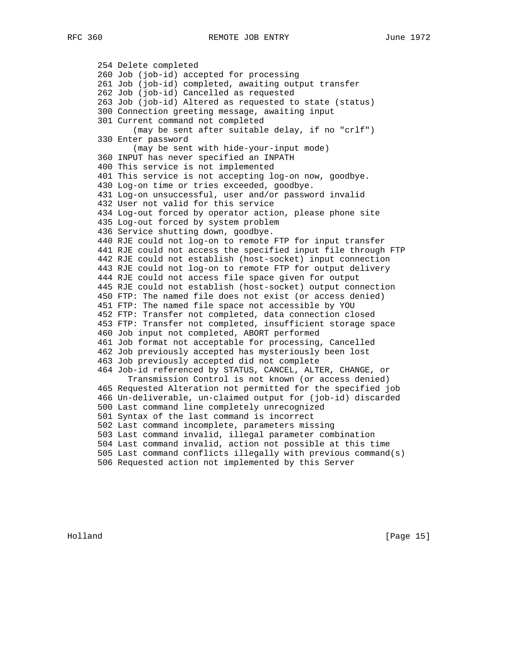254 Delete completed 260 Job (job-id) accepted for processing 261 Job (job-id) completed, awaiting output transfer 262 Job (job-id) Cancelled as requested 263 Job (job-id) Altered as requested to state (status) 300 Connection greeting message, awaiting input 301 Current command not completed (may be sent after suitable delay, if no "crlf") 330 Enter password (may be sent with hide-your-input mode) 360 INPUT has never specified an INPATH 400 This service is not implemented 401 This service is not accepting log-on now, goodbye. 430 Log-on time or tries exceeded, goodbye. 431 Log-on unsuccessful, user and/or password invalid 432 User not valid for this service 434 Log-out forced by operator action, please phone site 435 Log-out forced by system problem 436 Service shutting down, goodbye. 440 RJE could not log-on to remote FTP for input transfer 441 RJE could not access the specified input file through FTP 442 RJE could not establish (host-socket) input connection 443 RJE could not log-on to remote FTP for output delivery 444 RJE could not access file space given for output 445 RJE could not establish (host-socket) output connection 450 FTP: The named file does not exist (or access denied) 451 FTP: The named file space not accessible by YOU 452 FTP: Transfer not completed, data connection closed 453 FTP: Transfer not completed, insufficient storage space 460 Job input not completed, ABORT performed 461 Job format not acceptable for processing, Cancelled 462 Job previously accepted has mysteriously been lost 463 Job previously accepted did not complete 464 Job-id referenced by STATUS, CANCEL, ALTER, CHANGE, or Transmission Control is not known (or access denied) 465 Requested Alteration not permitted for the specified job 466 Un-deliverable, un-claimed output for (job-id) discarded 500 Last command line completely unrecognized 501 Syntax of the last command is incorrect 502 Last command incomplete, parameters missing 503 Last command invalid, illegal parameter combination 504 Last command invalid, action not possible at this time 505 Last command conflicts illegally with previous command(s) 506 Requested action not implemented by this Server

Holland [Page 15]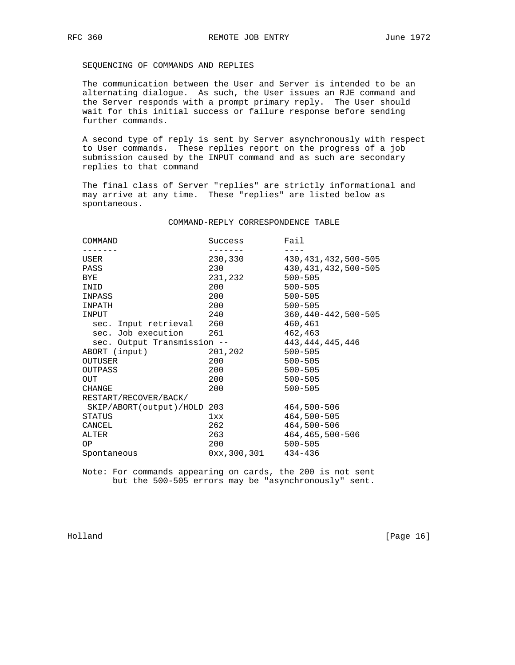SEQUENCING OF COMMANDS AND REPLIES

 The communication between the User and Server is intended to be an alternating dialogue. As such, the User issues an RJE command and the Server responds with a prompt primary reply. The User should wait for this initial success or failure response before sending further commands.

 A second type of reply is sent by Server asynchronously with respect to User commands. These replies report on the progress of a job submission caused by the INPUT command and as such are secondary replies to that command

 The final class of Server "replies" are strictly informational and may arrive at any time. These "replies" are listed below as spontaneous.

## COMMAND-REPLY CORRESPONDENCE TABLE

| COMMAND                     | Success       | Fail                        |
|-----------------------------|---------------|-----------------------------|
|                             |               |                             |
| USER                        | 230,330       | 430, 431, 432, 500-505      |
| PASS                        | 230           | 430, 431, 432, 500-505      |
| <b>BYE</b>                  | 231,232       | $500 - 505$                 |
| INID                        | 200           | $500 - 505$                 |
| INPASS                      | 200           | $500 - 505$                 |
| INPATH                      | 200           | $500 - 505$                 |
| INPUT                       | 240           | $360, 440 - 442, 500 - 505$ |
| sec. Input retrieval        | 260           | 460,461                     |
| sec. Job execution          | 261           | 462,463                     |
| sec. Output Transmission -- |               | 443, 444, 445, 446          |
| ABORT (input)               | 201,202       | $500 - 505$                 |
| OUTUSER                     | 200           | $500 - 505$                 |
| OUTPASS                     | 200           | $500 - 505$                 |
| <b>OUT</b>                  | 200           | $500 - 505$                 |
| CHANGE                      | 200           | $500 - 505$                 |
| RESTART/RECOVER/BACK/       |               |                             |
| SKIP/ABORT(output)/HOLD     | 203           | 464,500-506                 |
| STATUS                      | 1xx           | 464,500-505                 |
| CANCEL                      | 262           | 464,500-506                 |
| ALTER                       | 263           | 464, 465, 500-506           |
| ΟP                          | 200           | $500 - 505$                 |
| Spontaneous                 | 0xx, 300, 301 | $434 - 436$                 |

 Note: For commands appearing on cards, the 200 is not sent but the 500-505 errors may be "asynchronously" sent.

Holland [Page 16]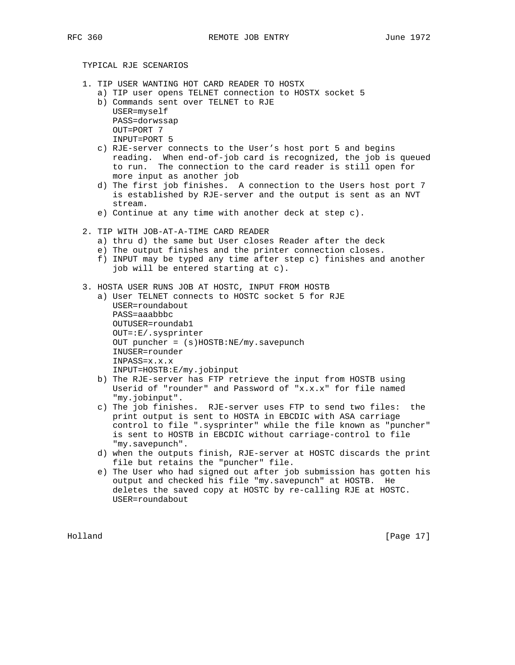# TYPICAL RJE SCENARIOS

- 1. TIP USER WANTING HOT CARD READER TO HOSTX
	- a) TIP user opens TELNET connection to HOSTX socket 5
	- b) Commands sent over TELNET to RJE
		- USER=myself PASS=dorwssap OUT=PORT 7 INPUT=PORT 5
	- c) RJE-server connects to the User's host port 5 and begins reading. When end-of-job card is recognized, the job is queued to run. The connection to the card reader is still open for more input as another job
	- d) The first job finishes. A connection to the Users host port 7 is established by RJE-server and the output is sent as an NVT stream.
	- e) Continue at any time with another deck at step c).
- 2. TIP WITH JOB-AT-A-TIME CARD READER
	- a) thru d) the same but User closes Reader after the deck
	- e) The output finishes and the printer connection closes.
	- f) INPUT may be typed any time after step c) finishes and another job will be entered starting at c).
- 3. HOSTA USER RUNS JOB AT HOSTC, INPUT FROM HOSTB
	- a) User TELNET connects to HOSTC socket 5 for RJE USER=roundabout PASS=aaabbbc OUTUSER=roundab1 OUT=:E/.sysprinter OUT puncher = (s)HOSTB:NE/my.savepunch INUSER=rounder INPASS=x.x.x INPUT=HOSTB:E/my.jobinput
	- b) The RJE-server has FTP retrieve the input from HOSTB using Userid of "rounder" and Password of "x.x.x" for file named "my.jobinput".
	- c) The job finishes. RJE-server uses FTP to send two files: the print output is sent to HOSTA in EBCDIC with ASA carriage control to file ".sysprinter" while the file known as "puncher" is sent to HOSTB in EBCDIC without carriage-control to file "my.savepunch".
	- d) when the outputs finish, RJE-server at HOSTC discards the print file but retains the "puncher" file.
	- e) The User who had signed out after job submission has gotten his output and checked his file "my.savepunch" at HOSTB. He deletes the saved copy at HOSTC by re-calling RJE at HOSTC. USER=roundabout

Holland [Page 17]